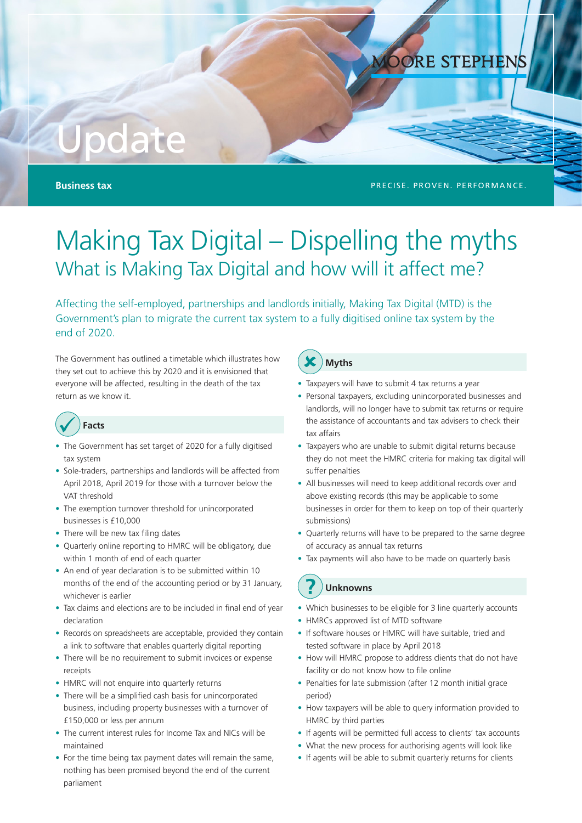# Update

**Business tax PRECISE. PROVEN. PERFORMANCE.** 

OORE STEPHEN

## Making Tax Digital – Dispelling the myths What is Making Tax Digital and how will it affect me?

Affecting the self-employed, partnerships and landlords initially, Making Tax Digital (MTD) is the Government's plan to migrate the current tax system to a fully digitised online tax system by the end of 2020.

The Government has outlined a timetable which illustrates how they set out to achieve this by 2020 and it is envisioned that everyone will be affected, resulting in the death of the tax return as we know it.



- The Government has set target of 2020 for a fully digitised tax system
- Sole-traders, partnerships and landlords will be affected from April 2018, April 2019 for those with a turnover below the VAT threshold
- The exemption turnover threshold for unincorporated businesses is £10,000
- There will be new tax filing dates
- Quarterly online reporting to HMRC will be obligatory, due within 1 month of end of each quarter
- An end of year declaration is to be submitted within 10 months of the end of the accounting period or by 31 January, whichever is earlier
- Tax claims and elections are to be included in final end of year declaration
- Records on spreadsheets are acceptable, provided they contain a link to software that enables quarterly digital reporting
- There will be no requirement to submit invoices or expense receipts
- HMRC will not enquire into quarterly returns
- There will be a simplified cash basis for unincorporated business, including property businesses with a turnover of £150,000 or less per annum
- The current interest rules for Income Tax and NICs will be maintained
- For the time being tax payment dates will remain the same, nothing has been promised beyond the end of the current parliament



- Taxpayers will have to submit 4 tax returns a year
- Personal taxpayers, excluding unincorporated businesses and landlords, will no longer have to submit tax returns or require the assistance of accountants and tax advisers to check their tax affairs
- Taxpayers who are unable to submit digital returns because they do not meet the HMRC criteria for making tax digital will suffer penalties
- All businesses will need to keep additional records over and above existing records (this may be applicable to some businesses in order for them to keep on top of their quarterly submissions)
- Quarterly returns will have to be prepared to the same degree of accuracy as annual tax returns
- Tax payments will also have to be made on quarterly basis

### **Unknowns**

- Which businesses to be eligible for 3 line quarterly accounts
- HMRCs approved list of MTD software
- If software houses or HMRC will have suitable, tried and tested software in place by April 2018
- How will HMRC propose to address clients that do not have facility or do not know how to file online
- Penalties for late submission (after 12 month initial grace period)
- How taxpayers will be able to query information provided to HMRC by third parties
- If agents will be permitted full access to clients' tax accounts
- What the new process for authorising agents will look like
- If agents will be able to submit quarterly returns for clients